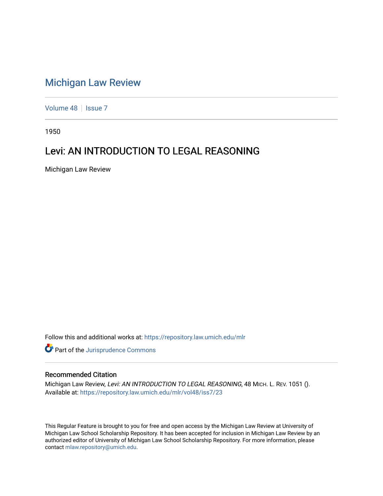# [Michigan Law Review](https://repository.law.umich.edu/mlr)

[Volume 48](https://repository.law.umich.edu/mlr/vol48) | [Issue 7](https://repository.law.umich.edu/mlr/vol48/iss7)

1950

## Levi: AN INTRODUCTION TO LEGAL REASONING

Michigan Law Review

Follow this and additional works at: [https://repository.law.umich.edu/mlr](https://repository.law.umich.edu/mlr?utm_source=repository.law.umich.edu%2Fmlr%2Fvol48%2Fiss7%2F23&utm_medium=PDF&utm_campaign=PDFCoverPages) 

Part of the [Jurisprudence Commons](http://network.bepress.com/hgg/discipline/610?utm_source=repository.law.umich.edu%2Fmlr%2Fvol48%2Fiss7%2F23&utm_medium=PDF&utm_campaign=PDFCoverPages)

### Recommended Citation

Michigan Law Review, Levi: AN INTRODUCTION TO LEGAL REASONING, 48 MICH. L. REV. 1051 (). Available at: [https://repository.law.umich.edu/mlr/vol48/iss7/23](https://repository.law.umich.edu/mlr/vol48/iss7/23?utm_source=repository.law.umich.edu%2Fmlr%2Fvol48%2Fiss7%2F23&utm_medium=PDF&utm_campaign=PDFCoverPages) 

This Regular Feature is brought to you for free and open access by the Michigan Law Review at University of Michigan Law School Scholarship Repository. It has been accepted for inclusion in Michigan Law Review by an authorized editor of University of Michigan Law School Scholarship Repository. For more information, please contact [mlaw.repository@umich.edu](mailto:mlaw.repository@umich.edu).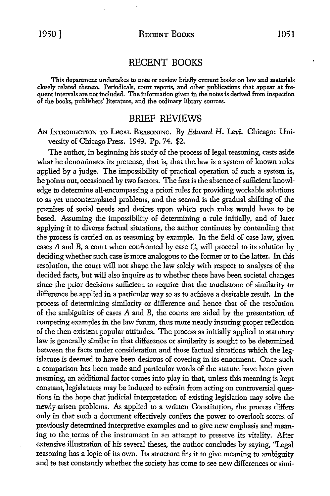### RECENT BOOKS

This department undertakes to note or review briefly current books on law and materials closely related thereto. Periodicals, court reports, and other publications that appear at frequent intervals are not included. The information given in the notes is derived from inspection of the books, publishers' literature, and the ordinary library sources.

#### BRIEF REVIEWS

AN INTRODUCTION TO LEGAL 'REASONING. By *Edward* H. *Levi.* Chicago: University of Chicago Press. 1949. Pp. 74. \$2.

The author, in beginning his study of the process of legal reasoning, casts aside what he denominates its pretense, that is, that the law is a system of known rules applied by a judge. The impossibility of practical operation of such a system is, he points out, occasioned by two factors. The first is the absence of sufficient knowledge to determine all-encompassing a priori rules for providing workable solutions to as yet uncontemplated problems, and the second is the gradual shifting of the premises of social needs and desires upon which such rules would have to be based. Assuming the impossibility of determining a rule initially, and of later applying it to diverse factual situations, the author continues by contending that the process is carried on as reasoning by example. In the field of case law, given cases  $A$  and  $B$ , a court when confronted by case  $C$ , will proceed to its solution by deciding whether such case is more analogous to the former or to the latter. In this resolution, the court will not shape the law solely with respect to analyses of the decided facts, but will also inquire as to whether there have been societal changes since the prior decisions sufficient to require that the touchstone of similarity or difference be applied in a particular way so as to achieve a desirable result. In the process of determining similarity or difference and hence that of the resolution of the ambiguities of cases A and B, the courts are aided by the presentation of competing examples in the law forum, thus more nearly insuring proper reflection of the then existent popular attitudes. The process as initially applied to statutory law is generally similar in that difference or similarity is sought to be determined between the facts under consideration and those factual situations which the legislature is deemed to have been desirous of covering in its enactment. Once such a comparison has been made and particular words of the statute have been given meaning, an additional factor comes into play in that, unless this meaning is kept constant, legislatures may be induced to refrain from acting on controversial questions in the hope that judicial interpretation of existing legislation may solve the newly-arisen problems. As applied to a written Constitution, the process differs only in that such a document effectively confers the power to overlook scores of previously determined interpretive examples and to give new emphasis and meaning to the terms of the instrument in an attempt to preserve its vitality. After extensive illustration of his several theses, the author concludes by saying, "Legal reasoning has a logic of its own. Its structure fits it to give meaning to ambiguity and te test constantly whether the society has come to see new differences or simi